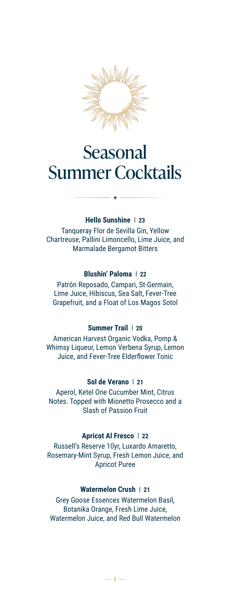

## Seasonal Summer Cocktails

#### **Hello Sunshine | 23**

Tanqueray Flor de Sevilla Gin, Yellow Chartreuse, Pallini Limoncello, Lime Juice, and Marmalade Bergamot Bitters

#### **Blushin' Paloma | 22**

Patrón Reposado, Campari, St-Germain, Lime Juice, Hibiscus, Sea Salt, Fever-Tree Grapefruit, and a Float of Los Magos Sotol

#### **Summer Trail | 20**

American Harvest Organic Vodka, Pomp & Whimsy Liqueur, Lemon Verbena Syrup, Lemon Juice, and Fever-Tree Elderflower Tonic

#### **Sol de Verano | 21**

Aperol, Ketel One Cucumber Mint, Citrus Notes. Topped with Mionetto Prosecco and a Slash of Passion Fruit

#### **Apricot Al Fresco | 22**

Russell's Reserve 10yr, Luxardo Amaretto, Rosemary-Mint Syrup, Fresh Lemon Juice, and Apricot Puree

#### **Watermelon Crush | 21**

Grey Goose Essences Watermelon Basil, Botanika Orange, Fresh Lime Juice, Watermelon Juice, and Red Bull Watermelon

 **1**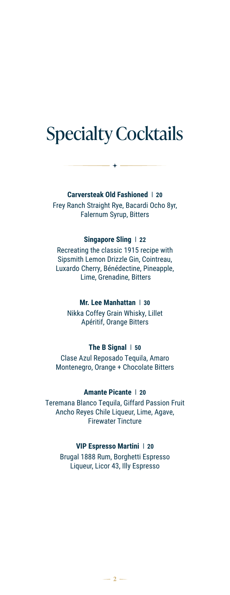## Specialty Cocktails

**Carversteak Old Fashioned | 20** Frey Ranch Straight Rye, Bacardi Ocho 8yr, Falernum Syrup, Bitters

#### **Singapore Sling | 22**

Recreating the classic 1915 recipe with Sipsmith Lemon Drizzle Gin, Cointreau, Luxardo Cherry, Bénédectine, Pineapple, Lime, Grenadine, Bitters

#### **Mr. Lee Manhattan | 30**

Nikka Coffey Grain Whisky, Lillet Apéritif, Orange Bitters

#### **The B Signal | 50**

Clase Azul Reposado Tequila, Amaro Montenegro, Orange + Chocolate Bitters

#### **Amante Picante | 20**

Teremana Blanco Tequila, Giffard Passion Fruit Ancho Reyes Chile Liqueur, Lime, Agave, Firewater Tincture

#### **VIP Espresso Martini | 20**

Brugal 1888 Rum, Borghetti Espresso Liqueur, Licor 43, Illy Espresso

 $-2-$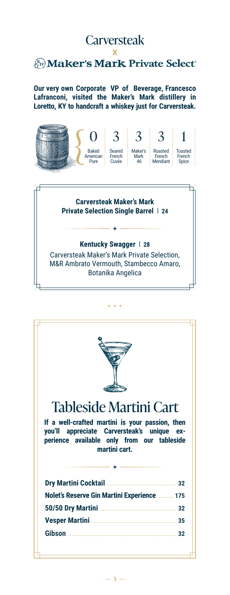#### **Carversteak**

#### X *A*<sub>*Sv</sub></sub> Maker's Mark Private Select<sup>\*</sup></sub>*

**Our very own Corporate VP of Beverage, Francesco Lafranconi, visited the Maker's Mark distillery in Loretto, KY to handcraft a whiskey just for Carversteak.**



**Carversteak Maker's Mark Private Selection Single Barrel | 24**

#### **Kentucky Swagger | 28**

Carversteak Maker's Mark Private Selection, M&R Ambrato Vermouth, Stambecco Amaro, Botanika Angelica



 $-3 -$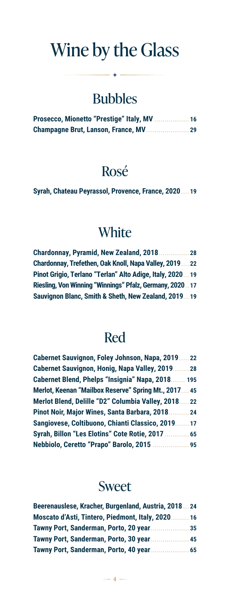## Wine by the Glass

## Bubbles

| Prosecco, Mionetto "Prestige" Italy, MV  16 |  |
|---------------------------------------------|--|
|                                             |  |

### Rosé

**Syrah, Chateau Peyrassol, Provence, France, 2020 .... 19**

### **White**

| <b>Chardonnay, Pyramid, New Zealand, 2018.</b>           | 28 |
|----------------------------------------------------------|----|
| Chardonnay, Trefethen, Oak Knoll, Napa Valley, 2019 22   |    |
| Pinot Grigio, Terlano "Terlan" Alto Adige, Italy, 202019 |    |
| Riesling, Von Winning "Winnings" Pfalz, Germany, 202017  |    |
| Sauvignon Blanc, Smith & Sheth, New Zealand, 201919      |    |

### Red

| <b>Cabernet Sauvignon, Foley Johnson, Napa, 2019</b> | 22  |
|------------------------------------------------------|-----|
| <b>Cabernet Sauvignon, Honig, Napa Valley, 2019</b>  | 28  |
| <b>Cabernet Blend, Phelps "Insignia" Napa, 2018.</b> | 195 |
| Merlot, Keenan "Mailbox Reserve" Spring Mt., 2017.   | 45  |
| Merlot Blend, Delille "D2" Columbia Valley, 2018     | 22  |
| Pinot Noir, Major Wines, Santa Barbara, 2018         | 24  |
| Sangiovese, Coltibuono, Chianti Classico, 2019.      | 17  |
| <b>Syrah, Billon "Les Elotins" Cote Rotie, 2017</b>  | 65  |
| Nebbiolo, Ceretto "Prapo" Barolo, 2015               | 95  |

#### Sweet

| Beerenauslese, Kracher, Burgenland, Austria, 201824                                       |      |
|-------------------------------------------------------------------------------------------|------|
| Moscato d'Asti, Tintero, Piedmont, Italy, 2020.<br>Tawny Port, Sanderman, Porto, 20 year. | . 16 |
|                                                                                           | 35   |
| Tawny Port, Sanderman, Porto, 30 year.                                                    | 45   |
| Tawny Port, Sanderman, Porto, 40 year.                                                    | 65   |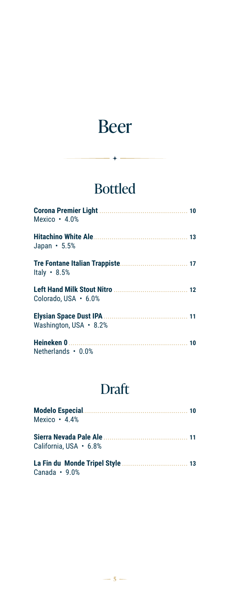## Beer

## Bottled

| Mexico · 4.0%              |  |
|----------------------------|--|
| Japan $\cdot$ 5.5%         |  |
| Italy $\cdot$ 8.5%         |  |
| Colorado. USA $\cdot$ 6.0% |  |
| Washington, USA • 8.2%     |  |
| Netherlands • 0.0%         |  |

## Draft

| Modelo Especial Modelo Fission Communication and To<br>Mexico $\cdot$ 4.4% |  |
|----------------------------------------------------------------------------|--|
| California, USA $\cdot$ 6.8%                                               |  |
| Canada $\cdot$ 9.0%                                                        |  |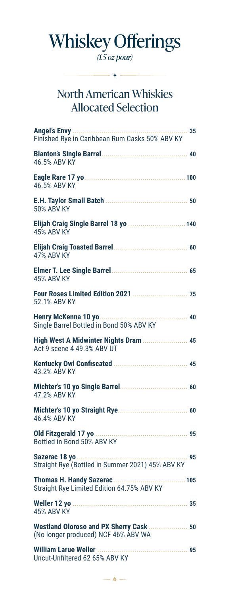# Whiskey Offerings

*(1.5 oz pour)*

 $-$  +  $-$ 

### North American Whiskies Allocated Selection

 $-6 -$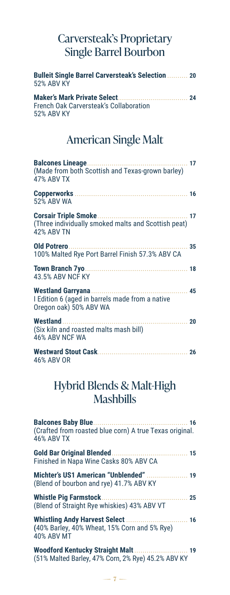#### Carversteak's Proprietary Single Barrel Bourbon

| <b>Bulleit Single Barrel Carversteak's Selection  20</b><br><b>52% ABV KY</b>                   |    |
|-------------------------------------------------------------------------------------------------|----|
| French Oak Carversteak's Collaboration<br><b>52% ABV KY</b>                                     |    |
| <b>American Single Malt</b>                                                                     |    |
| <b>Balcones Lineage</b><br>17<br>(Made from both Scottish and Texas-grown barley)<br>47% ABV TX |    |
| 52% ABV WA                                                                                      |    |
| (Three individually smoked malts and Scottish peat)<br><b>42% ABV TN</b>                        | 17 |
| Old Potrero.<br>100% Malted Rye Port Barrel Finish 57.3% ABV CA                                 | 35 |
| Town Branch 7yo<br>43.5% ABV NCF KY                                                             |    |
| I Edition 6 (aged in barrels made from a native<br>Oregon oak) 50% ABV WA                       |    |
| <b>Westland</b><br>. 20<br>(Six kiln and roasted malts mash bill)<br>46% ABV NCF WA             |    |
| 46% ABV OR                                                                                      |    |

#### Hybrid Blends & Malt-High Mashbills

| <b>Balcones Baby Blue</b><br>(Crafted from roasted blue corn) A true Texas original.<br><b>46% ABV TX</b> |    |
|-----------------------------------------------------------------------------------------------------------|----|
| <b>Gold Bar Original Blended</b><br>Finished in Napa Wine Casks 80% ABV CA                                |    |
| (Blend of bourbon and rye) 41.7% ABV KY                                                                   |    |
| <b>Whistle Pig Farmstock.</b><br>(Blend of Straight Rye whiskies) 43% ABV VT                              | 25 |
| <b>Whistling Andy Harvest Select</b><br>(40% Barley, 40% Wheat, 15% Corn and 5% Rye)<br>40% ABV MT        | 16 |
| (51% Malted Barley, 47% Corn, 2% Rye) 45.2% ABV KY                                                        |    |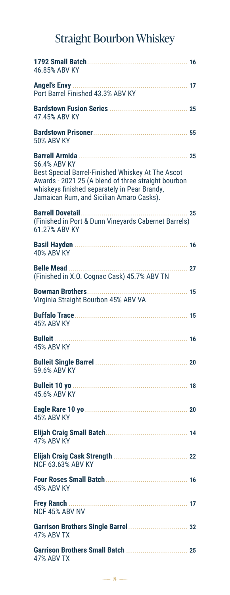## Straight Bourbon Whiskey

| 46.85% ABV KY                                                                                                                                                                                                        |             |
|----------------------------------------------------------------------------------------------------------------------------------------------------------------------------------------------------------------------|-------------|
| Port Barrel Finished 43.3% ABV KY                                                                                                                                                                                    |             |
| 47.45% ABV KY                                                                                                                                                                                                        |             |
| <b>50% ABV KY</b>                                                                                                                                                                                                    |             |
| 56.4% ABV KY<br>Best Special Barrel-Finished Whiskey At The Ascot<br>Awards - 2021 25 (A blend of three straight bourbon<br>whiskeys finished separately in Pear Brandy,<br>Jamaican Rum, and Sicilian Amaro Casks). | 25          |
| <b>Barrell Dovetail</b><br>(Finished in Port & Dunn Vineyards Cabernet Barrels)<br>61.27% ABV KY                                                                                                                     | $\ldots$ 25 |
| <b>40% ABV KY</b>                                                                                                                                                                                                    |             |
| <b>Belle Mead</b><br>$\cdots$ 27<br>(Finished in X.O. Cognac Cask) 45.7% ABV TN                                                                                                                                      |             |
| Virginia Straight Bourbon 45% ABV VA                                                                                                                                                                                 |             |
| <b>45% ABV KY</b>                                                                                                                                                                                                    |             |
| <b>Bulleit</b><br><b>45% ABV KY</b>                                                                                                                                                                                  |             |
| 59.6% ABV KY                                                                                                                                                                                                         |             |
| 45.6% ABV KY 45.6%                                                                                                                                                                                                   |             |
| <b>45% ABV KY</b>                                                                                                                                                                                                    | 20          |
| <b>47% ABV KY</b>                                                                                                                                                                                                    |             |
| <b>NCF 63.63% ABV KY</b>                                                                                                                                                                                             |             |
| <b>45% ABV KY</b>                                                                                                                                                                                                    |             |
| Frey Ranch<br>NCF 45% ABV NV                                                                                                                                                                                         |             |
| <b>47% ABV TX</b>                                                                                                                                                                                                    |             |
| 47% ABV TX                                                                                                                                                                                                           |             |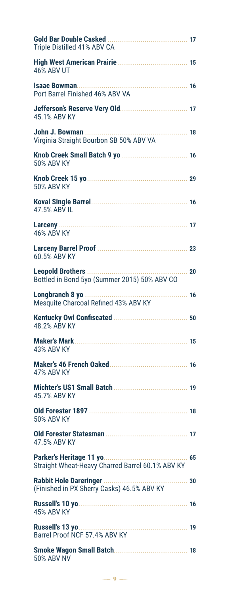| Triple Distilled 41% ABV CA                                              |    |
|--------------------------------------------------------------------------|----|
| <b>46% ABV UT</b>                                                        |    |
| Port Barrel Finished 46% ABV VA                                          |    |
| 45.1% ABV KY                                                             |    |
| 18<br>Virginia Straight Bourbon SB 50% ABV VA                            |    |
| <b>50% ABV KY</b>                                                        |    |
| <b>50% ABV KY</b>                                                        |    |
| 47.5% ABV IL                                                             |    |
| <b>46% ABV KY</b>                                                        |    |
| 60.5% ABV KY                                                             | 23 |
| <b>Leopold Brothers </b><br>Bottled in Bond 5yo (Summer 2015) 50% ABV CO | 20 |
| Longbranch 8 yo<br>.<br>Mesquite Charcoal Refined 43% ABV KY             | 16 |
| 48.2% ABV KY                                                             |    |
| <b>43% ABV KY</b>                                                        |    |
| 47% ABV KY                                                               |    |
| 45.7% ABV KY                                                             |    |
| <b>50% ABV KY</b>                                                        |    |
| 47.5% ABV KY                                                             |    |
| Straight Wheat-Heavy Charred Barrel 60.1% ABV KY                         |    |
| (Finished in PX Sherry Casks) 46.5% ABV KY                               |    |
| <b>45% ABV KY</b>                                                        |    |
| Barrel Proof NCF 57.4% ABV KY                                            |    |
| <b>50% ABV NV</b>                                                        |    |

 $-9-$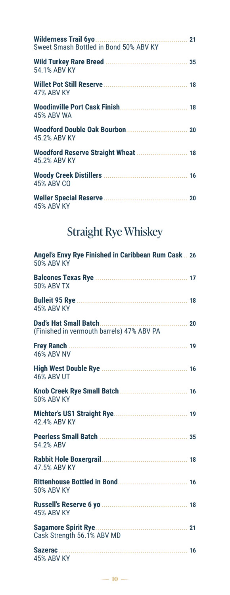| Sweet Smash Bottled in Bond 50% ABV KY              |  |
|-----------------------------------------------------|--|
| 54.1% ABV KY                                        |  |
| 47% ABV KY                                          |  |
| 45% ABV WA                                          |  |
| 45.2% ABV KY                                        |  |
| Woodford Reserve Straight Wheat  18<br>45.2% ABV KY |  |
| 45% ABV CO                                          |  |
| <b>45% ABV KY</b>                                   |  |

## Straight Rye Whiskey

| Angel's Envy Rye Finished in Caribbean Rum Cask  26<br><b>50% ABV KY</b> |  |
|--------------------------------------------------------------------------|--|
| <b>50% ABV TX</b>                                                        |  |
| <b>45% ABV KY</b>                                                        |  |
| Dad's Hat Small Batch<br>20<br>(Finished in vermouth barrels) 47% ABV PA |  |
| <b>Frey Ranch</b><br><b>46% ABV NV</b>                                   |  |
| <b>46% ABV UT</b>                                                        |  |
| <b>50% ABV KY</b>                                                        |  |
| 42.4% ABV KY                                                             |  |
| 54.2% ABV                                                                |  |
| 47.5% ABV KY                                                             |  |
| <b>50% ABV KY</b>                                                        |  |
| <b>45% ABV KY</b>                                                        |  |
| <b>Sagamore Spirit Rye</b><br>Cask Strength 56.1% ABV MD                 |  |
| Sazerac<br><b>45% ABV KY</b>                                             |  |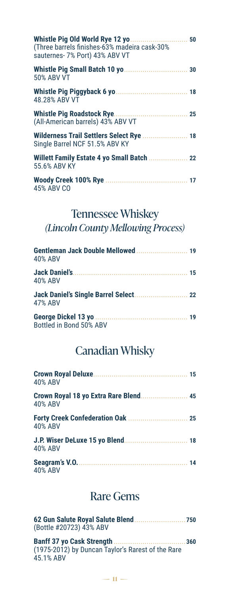| Whistle Pig Old World Rye 12 yo<br>.<br>(Three barrels finishes-63% madeira cask-30%<br>sauternes- 7% Port) 43% ABV VT | 50 |
|------------------------------------------------------------------------------------------------------------------------|----|
| 50% ABV VT                                                                                                             | 30 |
| 48.28% ABV VT                                                                                                          |    |
| (All-American barrels) 43% ABV VT                                                                                      |    |
| Wilderness Trail Settlers Select Rye<br>Single Barrel NCF 51.5% ABV KY                                                 | 18 |
| Willett Family Estate 4 yo Small Batch  22<br>55.6% ABV KY                                                             |    |
| 45% ABV CO                                                                                                             |    |

## Tennessee Whiskey

*(Lincoln County Mellowing Process)*

| 40% ABV                 |  |
|-------------------------|--|
| <b>40% ABV</b>          |  |
| 47% ABV                 |  |
| Bottled in Bond 50% ABV |  |

### Canadian Whisky

| <b>40% ABV</b>                                          |  |
|---------------------------------------------------------|--|
| Crown Royal 18 yo Extra Rare Blend 45<br><b>40% ABV</b> |  |
| <b>40% ABV</b>                                          |  |
| 40% ABV                                                 |  |
| <b>40% ABV</b>                                          |  |

#### Rare Gems

| (Bottle #20723) 43% ABV                                        |     |
|----------------------------------------------------------------|-----|
| (1975-2012) by Duncan Taylor's Rarest of the Rare<br>45.1% ABV | 360 |

 $-11 -$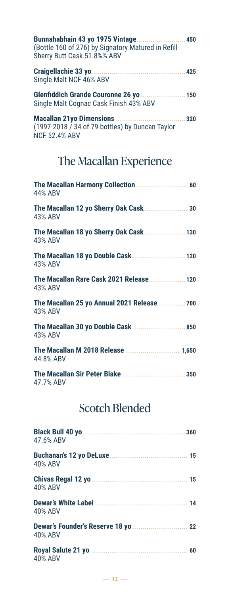| Bunnahabhain 43 yo 1975 Vintage 450<br>(Bottle 160 of 276) by Signatory Matured in Refill<br>Sherry Butt Cask 51.8%% ABV |  |
|--------------------------------------------------------------------------------------------------------------------------|--|
| Single Malt NCF 46% ABV                                                                                                  |  |
| Glenfiddich Grande Couronne 26 yo  150<br>Single Malt Cognac Cask Finish 43% ABV                                         |  |
|                                                                                                                          |  |

(1997-2018 / 34 of 79 bottles) by Duncan Taylor NCF 52.4% ABV

#### The Macallan Experience

| 44% ABV                                                |
|--------------------------------------------------------|
| The Macallan 12 yo Sherry Oak Cask  30<br>43% ABV      |
| The Macallan 18 yo Sherry Oak Cask  130<br>43% ABV     |
| The Macallan 18 yo Double Cask  120<br>43% ABV         |
| The Macallan Rare Cask 2021 Release 120<br>43% ABV     |
| The Macallan 25 yo Annual 2021 Release  700<br>43% ABV |
| The Macallan 30 yo Double Cask  850<br>43% ABV         |
| The Macallan M 2018 Release 1,650<br>44.8% ABV         |
| 47.7% ABV                                              |

### Scotch Blended

| 47.6% ABV      |  |
|----------------|--|
| 40% ABV        |  |
| 40% ABV        |  |
| 40% ABV        |  |
| <b>40% ABV</b> |  |
| <b>40% ABV</b> |  |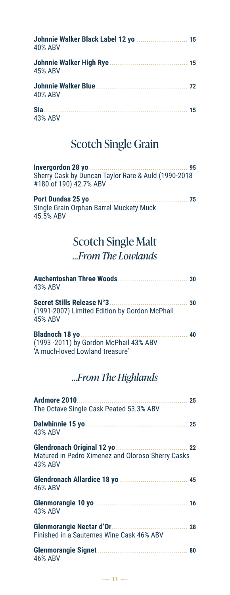| Johnnie Walker Black Label 12 yo  15<br><b>40% ABV</b> |  |
|--------------------------------------------------------|--|
| 45% ABV                                                |  |
| 40% ABV                                                |  |
| 43% ABV                                                |  |

## Scotch Single Grain

| Sherry Cask by Duncan Taylor Rare & Auld (1990-2018<br>#180 of 190) 42.7% ABV |      |
|-------------------------------------------------------------------------------|------|
| Single Grain Orphan Barrel Muckety Muck                                       | - 75 |
| 45.5% ABV                                                                     |      |

### Scotch Single Malt

#### *…From The Lowlands*

| 43% ABV                                                                   |    |
|---------------------------------------------------------------------------|----|
| (1991-2007) Limited Edition by Gordon McPhail<br>45% ABV                  | 30 |
| (1993 -2011) by Gordon McPhail 43% ABV<br>'A much-loved Lowland treasure' | 40 |

#### *…From The Highlands*

| Ardmore 2010<br>The Octave Single Cask Peated 53.3% ABV      |    |
|--------------------------------------------------------------|----|
| 43% ABV                                                      |    |
| Matured in Pedro Ximenez and Oloroso Sherry Casks<br>43% ABV | 22 |
| 46% ABV                                                      |    |
| 43% ABV                                                      |    |
| Finished in a Sauternes Wine Cask 46% ABV                    |    |
| 46% ABV                                                      |    |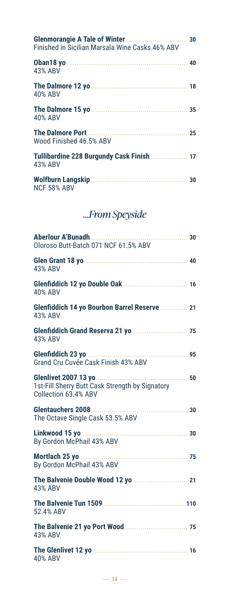| Finished in Sicilian Marsala Wine Casks 46% ABV      | 30 |
|------------------------------------------------------|----|
| 43% ABV                                              |    |
| 40% ABV                                              |    |
| 40% ABV                                              | 35 |
| Wood Finished 46.5% ABV                              |    |
| Tullibardine 228 Burgundy Cask Finish  17<br>43% ABV |    |
| <b>NCF 58% ABV</b>                                   | 30 |

### *…From Speyside*

| Aberlour A'Bunadh<br>. 30<br>Oloroso Butt-Batch 071 NCF 61.5% ABV                                           |    |
|-------------------------------------------------------------------------------------------------------------|----|
| <b>Glen Grant 18 yo </b><br><b>43% ABV</b>                                                                  |    |
| 40% ABV                                                                                                     |    |
| Glenfiddich 14 yo Bourbon Barrel Reserve 21<br><b>43% ABV</b>                                               |    |
| 43% ABV                                                                                                     |    |
| Glenfiddich 23 yo<br>. 95<br>Grand Cru Cuvée Cask Finish 43% ABV                                            |    |
| <b>Glenlivet 2007 13 yo</b><br>.<br>1st-Fill Sherry Butt Cask Strength by Signatory<br>Collection 63.4% ABV | 50 |
| Glentauchers 2008<br>The Octave Single Cask 53.5% ABV                                                       |    |
| By Gordon McPhail 43% ABV                                                                                   |    |
| Mortlach 25 yo<br>By Gordon McPhail 43% ABV                                                                 |    |
| 43% ABV                                                                                                     |    |
| 52.4% ABV                                                                                                   |    |
| <b>43% ABV</b>                                                                                              |    |
| <b>40% ABV</b>                                                                                              |    |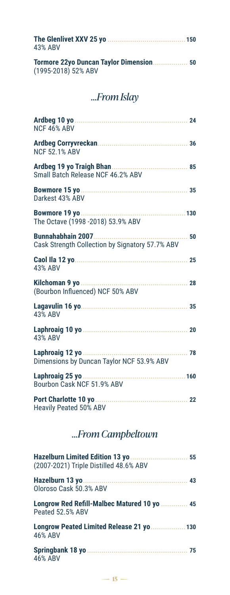| 43% ABV             |  |
|---------------------|--|
| (1995-2018) 52% ABV |  |

#### *…From Islay*

| NCF 46% ABV                                                                  | 24 |
|------------------------------------------------------------------------------|----|
| <b>NCF 52.1% ABV</b>                                                         | 36 |
| Small Batch Release NCF 46.2% ABV                                            | 85 |
| Bowmore 15 yo<br>Darkest 43% ABV                                             | 35 |
| The Octave (1998 - 2018) 53.9% ABV                                           |    |
| <b>Bunnahabhain 2007.</b><br>Cask Strength Collection by Signatory 57.7% ABV | 50 |
| 43% ABV                                                                      | 25 |
| Kilchoman 9 yo<br>(Bourbon Influenced) NCF 50% ABV                           | 28 |
| <b>43% ABV</b>                                                               | 35 |
| <b>43% ABV</b>                                                               | 20 |
| Dimensions by Duncan Taylor NCF 53.9% ABV                                    | 78 |
| Laphroaig 25 yo<br>Bourbon Cask NCF 51.9% ABV                                |    |
| Port Charlotte 10 yo<br><b>Heavily Peated 50% ABV</b>                        |    |

#### *…From Campbeltown*

| (2007-2021) Triple Distilled 48.6% ABV                          |  |
|-----------------------------------------------------------------|--|
| Oloroso Cask 50.3% ABV                                          |  |
| Longrow Red Refill-Malbec Matured 10 yo  45<br>Peated 52.5% ABV |  |
| Longrow Peated Limited Release 21 yo  130<br><b>46% ABV</b>     |  |
| <b>46% ABV</b>                                                  |  |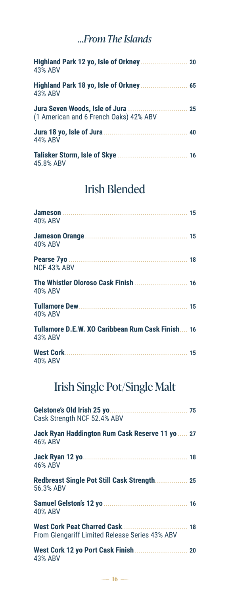#### *…From The Islands*

| 43% ABV                                |  |
|----------------------------------------|--|
| <b>43% ABV</b>                         |  |
| (1 American and 6 French Oaks) 42% ABV |  |
| 44% ABV                                |  |
| 45.8% ABV                              |  |

### Irish Blended

| 40% ABV                                                     |  |
|-------------------------------------------------------------|--|
| 40% ABV                                                     |  |
| NCF 43% ABV                                                 |  |
| <b>40% ABV</b>                                              |  |
| 40% ABV                                                     |  |
| Tullamore D.E.W. XO Caribbean Rum Cask Finish 16<br>43% ABV |  |
| 40% ABV                                                     |  |

## Irish Single Pot/Single Malt

| Cask Strength NCF 52.4% ABV                                |    |
|------------------------------------------------------------|----|
| Jack Ryan Haddington Rum Cask Reserve 11 yo  27<br>46% ABV |    |
| 46% ABV                                                    |    |
| Redbreast Single Pot Still Cask Strength 25<br>56.3% ABV   |    |
| 40% ABV                                                    |    |
| From Glengariff Limited Release Series 43% ABV             | 18 |
| 43% ABV                                                    |    |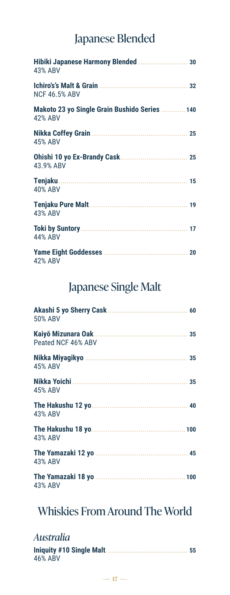### Japanese Blended

| Hibiki Japanese Harmony Blended  30<br>43% ABV           |
|----------------------------------------------------------|
| <b>NCF 46.5% ABV</b>                                     |
| Makoto 23 yo Single Grain Bushido Series  140<br>42% ABV |
| 25<br>45% ABV                                            |
| 43.9% ABV                                                |
| 40% ABV                                                  |
| 43% ABV                                                  |
| 44% ABV                                                  |
| 42% ABV                                                  |

#### Japanese Single Malt

| 50% ABV                                   | 60 |
|-------------------------------------------|----|
| Kaiyō Mizunara Oak.<br>Peated NCF 46% ABV | 35 |
| <b>45% ABV</b>                            |    |
| <b>45% ABV</b>                            | 35 |
| 43% ABV                                   |    |
| 43% ABV                                   |    |
| 43% ABV                                   |    |
| 43% ABV                                   |    |

### Whiskies From Around The World

#### *Australia*

| 46% ABV |  |
|---------|--|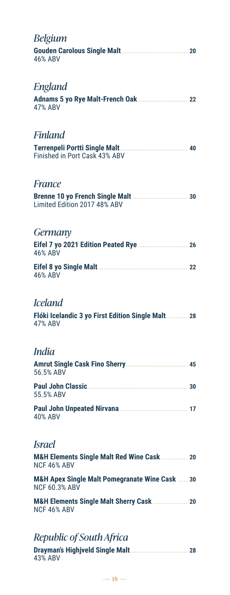| Belgium<br><b>46% ABV</b>                                                         |  |
|-----------------------------------------------------------------------------------|--|
| England<br><b>47% ABV</b>                                                         |  |
| Finland                                                                           |  |
| Finished in Port Cask 43% ABV                                                     |  |
| France                                                                            |  |
| Limited Edition 2017 48% ABV                                                      |  |
| Germany                                                                           |  |
| <b>46% ABV</b>                                                                    |  |
| <b>46% ABV</b>                                                                    |  |
| Iceland                                                                           |  |
| Flóki Icelandic 3 yo First Edition Single Malt  28<br><b>47% ABV</b>              |  |
| India                                                                             |  |
| 56.5% ABV                                                                         |  |
| 55.5% ABV                                                                         |  |
| <b>40% ABV</b>                                                                    |  |
| Israel                                                                            |  |
| M&H Elements Single Malt Red Wine Cask 20<br>NCF 46% ABV                          |  |
| <b>M&amp;H Apex Single Malt Pomegranate Wine Cask  30</b><br><b>NCF 60.3% ABV</b> |  |
| M&H Elements Single Malt Sherry Cask  20<br>NCF 46% ABV                           |  |
|                                                                                   |  |

#### *Republic of South Africa*

| 43% ABV |  |
|---------|--|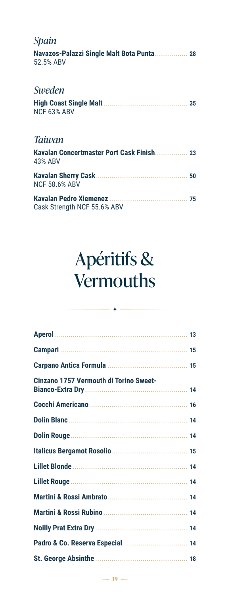| Spain                                                  |    |
|--------------------------------------------------------|----|
| Navazos-Palazzi Single Malt Bota Punta 28<br>52.5% ABV |    |
| Sweden                                                 |    |
| NCF 63% ABV                                            |    |
| <b>Taiwan</b>                                          |    |
| 43% ABV                                                |    |
| <b>NCF 58.6% ABV</b>                                   | 50 |
| Cask Strength NCF 55.6% ABV                            |    |

## Apéritifs & **Vermouths**

| Cinzano 1757 Vermouth di Torino Sweet- |    |
|----------------------------------------|----|
|                                        |    |
|                                        |    |
|                                        |    |
|                                        |    |
|                                        |    |
|                                        |    |
|                                        |    |
|                                        | 14 |
|                                        |    |
|                                        |    |
|                                        |    |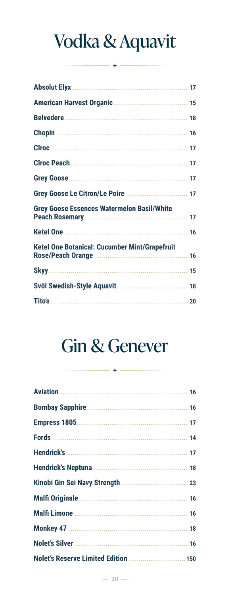# Vodka & Aquavit

| <b>Grey Goose Essences Watermelon Basil/White</b>    |  |
|------------------------------------------------------|--|
|                                                      |  |
| <b>Ketel One Botanical: Cucumber Mint/Grapefruit</b> |  |
|                                                      |  |
|                                                      |  |
|                                                      |  |

## **Gin & Genever**

| Nolet's Reserve Limited Edition  150 |  |
|--------------------------------------|--|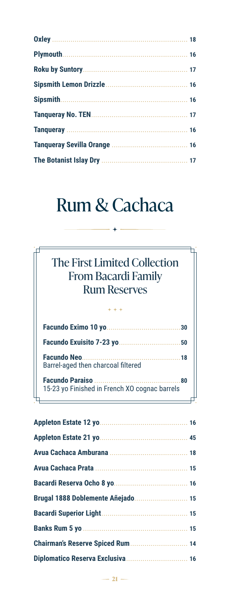## Rum & Cachaca

| The First Limited Collection<br><b>From Bacardi Family</b><br><b>Rum Reserves</b> |
|-----------------------------------------------------------------------------------|
| $***$                                                                             |
| 30                                                                                |
|                                                                                   |

**Facundo Neo ................................................18** Barrel-aged then charcoal filtered

**Facundo Paraiso ..........................................80** 15-23 yo Finished in French XO cognac barrels

п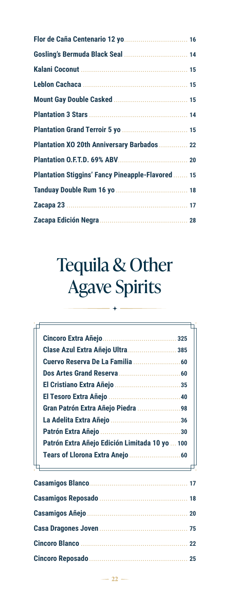| Plantation XO 20th Anniversary Barbados  22              |  |
|----------------------------------------------------------|--|
|                                                          |  |
| <b>Plantation Stiggins' Fancy Pineapple-Flavored  15</b> |  |
|                                                          |  |
|                                                          |  |
|                                                          |  |

## Tequila & Other Agave Spirits

|                                                | 325 |
|------------------------------------------------|-----|
| Clase Azul Extra Añejo Ultra 385               |     |
|                                                |     |
|                                                |     |
|                                                |     |
|                                                |     |
| Gran Patrón Extra Añejo Piedra 98              |     |
|                                                |     |
|                                                | 30  |
| Patrón Extra Añejo Edición Limitada 10 yo  100 |     |
|                                                |     |

#### $-22 -$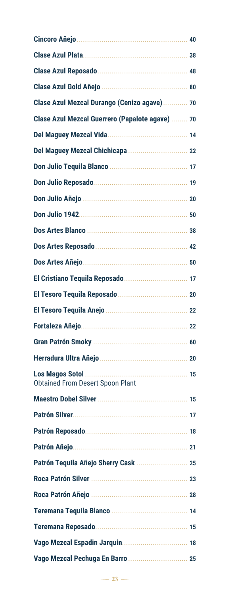|                                                            | 40 |
|------------------------------------------------------------|----|
|                                                            | 38 |
|                                                            |    |
|                                                            |    |
| Clase Azul Mezcal Durango (Cenizo agave) 70                |    |
| Clase Azul Mezcal Guerrero (Papalote agave)  70            |    |
|                                                            |    |
| Del Maguey Mezcal Chichicapa  22                           |    |
|                                                            |    |
|                                                            |    |
|                                                            |    |
|                                                            |    |
|                                                            |    |
|                                                            |    |
|                                                            | 50 |
|                                                            |    |
|                                                            |    |
|                                                            |    |
|                                                            |    |
|                                                            |    |
|                                                            | 20 |
| Los Magos Sotol<br><b>Obtained From Desert Spoon Plant</b> |    |
|                                                            |    |
|                                                            |    |
|                                                            |    |
|                                                            |    |
| Patrón Tequila Añejo Sherry Cask  25                       |    |
|                                                            |    |
|                                                            |    |
|                                                            |    |
|                                                            |    |
|                                                            |    |
| Vago Mezcal Pechuga En Barro  25                           |    |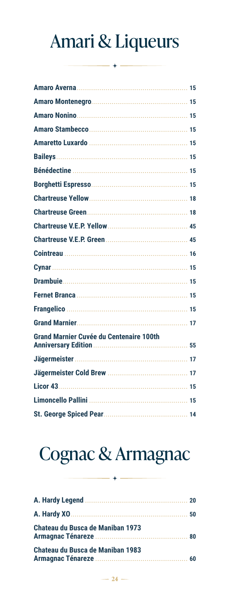## Amari & Liqueurs

|                                                | 15 |
|------------------------------------------------|----|
|                                                |    |
|                                                |    |
|                                                |    |
|                                                |    |
|                                                |    |
|                                                |    |
|                                                |    |
|                                                |    |
|                                                |    |
|                                                |    |
|                                                |    |
|                                                |    |
|                                                |    |
|                                                |    |
|                                                |    |
|                                                |    |
|                                                |    |
| <b>Grand Marnier Cuvée du Centenaire 100th</b> | 55 |
|                                                | 17 |
|                                                |    |
| <b>Licor 43</b>                                |    |
|                                                |    |
|                                                |    |
|                                                |    |

# Cognac & Armagnac

| <b>Chateau du Busca de Maniban 1973</b> |    |
|-----------------------------------------|----|
| Chateau du Busca de Maniban 1983        | 60 |

 $-24-$